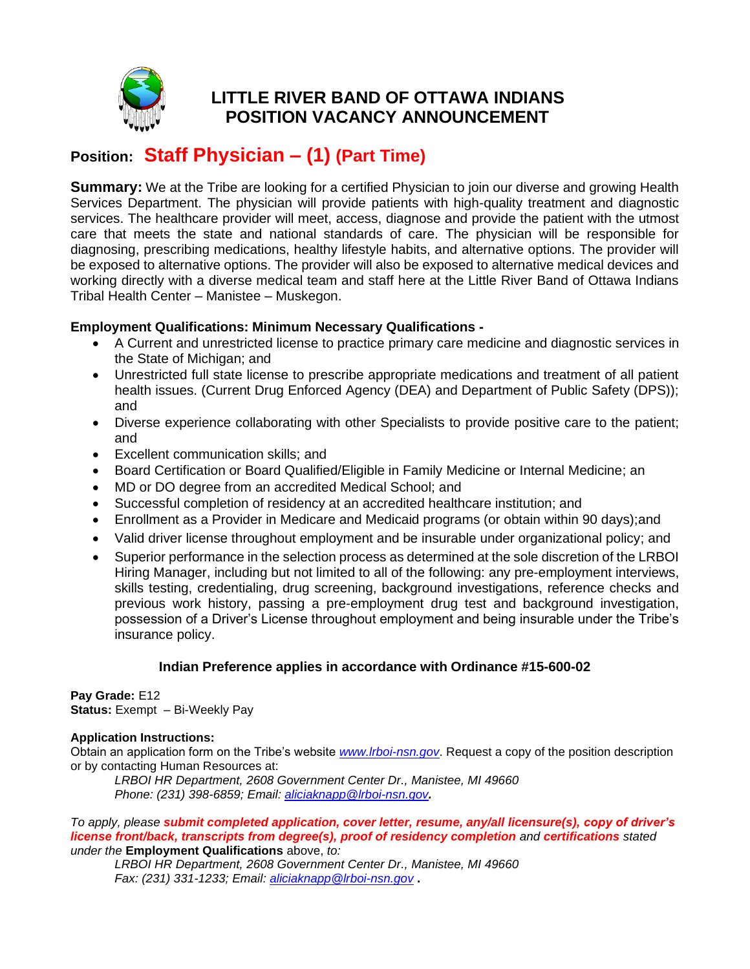

# **LITTLE RIVER BAND OF OTTAWA INDIANS POSITION VACANCY ANNOUNCEMENT**

# **Position: Staff Physician – (1) (Part Time)**

**Summary:** We at the Tribe are looking for a certified Physician to join our diverse and growing Health Services Department. The physician will provide patients with high-quality treatment and diagnostic services. The healthcare provider will meet, access, diagnose and provide the patient with the utmost care that meets the state and national standards of care. The physician will be responsible for diagnosing, prescribing medications, healthy lifestyle habits, and alternative options. The provider will be exposed to alternative options. The provider will also be exposed to alternative medical devices and working directly with a diverse medical team and staff here at the Little River Band of Ottawa Indians Tribal Health Center – Manistee – Muskegon.

## **Employment Qualifications: Minimum Necessary Qualifications -**

- A Current and unrestricted license to practice primary care medicine and diagnostic services in the State of Michigan; and
- Unrestricted full state license to prescribe appropriate medications and treatment of all patient health issues. (Current Drug Enforced Agency (DEA) and Department of Public Safety (DPS)); and
- Diverse experience collaborating with other Specialists to provide positive care to the patient; and
- Excellent communication skills; and
- Board Certification or Board Qualified/Eligible in Family Medicine or Internal Medicine; an
- MD or DO degree from an accredited Medical School; and
- Successful completion of residency at an accredited healthcare institution; and
- Enrollment as a Provider in Medicare and Medicaid programs (or obtain within 90 days); and
- Valid driver license throughout employment and be insurable under organizational policy; and
- Superior performance in the selection process as determined at the sole discretion of the LRBOI Hiring Manager, including but not limited to all of the following: any pre-employment interviews, skills testing, credentialing, drug screening, background investigations, reference checks and previous work history, passing a pre-employment drug test and background investigation, possession of a Driver's License throughout employment and being insurable under the Tribe's insurance policy.

### **Indian Preference applies in accordance with Ordinance #15-600-02**

**Pay Grade:** E12 **Status:** Exempt – Bi-Weekly Pay

#### **Application Instructions:**

Obtain an application form on the Tribe's website *[www.lrboi-nsn.gov](http://www.lrboi-nsn.gov/)*. Request a copy of the position description or by contacting Human Resources at:

*LRBOI HR Department, 2608 Government Center Dr., Manistee, MI 49660 Phone: (231) 398-6859; Email: [aliciaknapp@lrboi-nsn.gov](mailto:aliciaknapp@lrboi-nsn.gov).*

#### *To apply, please submit completed application, cover letter, resume, any/all licensure(s), copy of driver's license front/back, transcripts from degree(s), proof of residency completion and certifications stated under the* **Employment Qualifications** above, *to:*

*LRBOI HR Department, 2608 Government Center Dr., Manistee, MI 49660 Fax: (231) 331-1233; Email: [aliciaknapp@lrboi-nsn.gov](mailto:aliciaknapp@lrboi-nsn.gov)* **.**